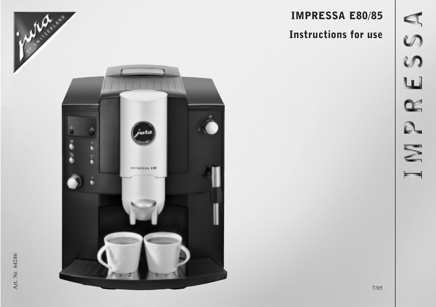# IMPRESSA E80/85

# Instructions for use

 $250$ ш IMPR

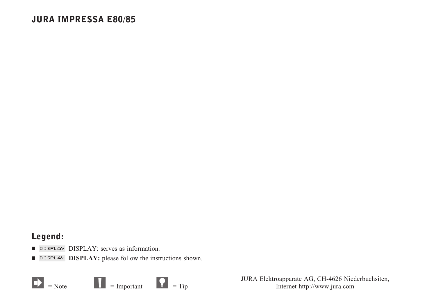### JURA IMPRESSA E80/85

### Legend:

- **DISPLAY:** serves as information.
- **DISPLAY:** please follow the instructions shown.



JURA Elektroapparate AG, CH-4626 Niederbuchsiten, Internet http://www.jura.com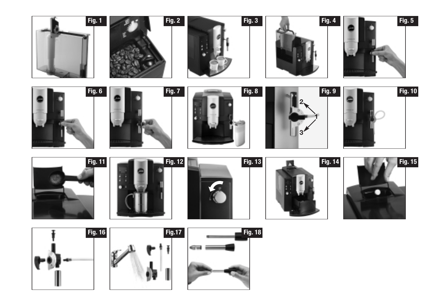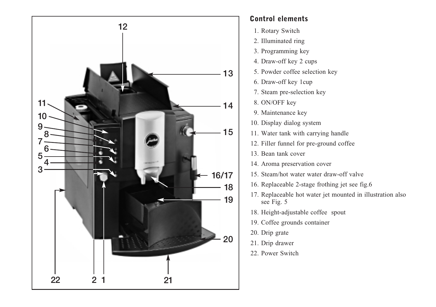

### Control elements

- 1. Rotary Switch
- 2. Illuminated ring
- 3. Programming key
- 4. Draw-off key 2 cups
- 5. Powder coffee selection key
- 6. Draw-off key 1cup
- 7. Steam pre-selection key
- 8. ON/OFF key
- 9. Maintenance key
- 10. Display dialog system
- 11. Water tank with carrying handle
- 12. Filler funnel for pre-ground coffee
- 13. Bean tank cover
- 14. Aroma preservation cover
- 15. Steam/hot water water draw-off valve
- 16. Replaceable 2-stage frothing jet see fig.6
- 17. Replaceable hot water jet mounted in illustration also see Fig. 5
- 18. Height-adjustable coffee spout
- 19. Coffee grounds container
- 20. Drip grate
- 21. Drip drawer
- 22. Power Switch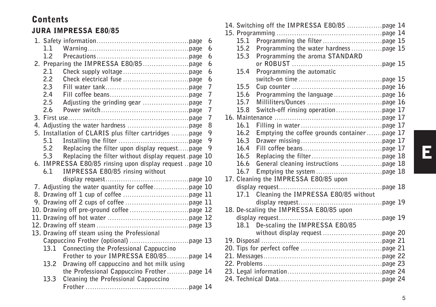## Contents

### JURA IMPRESSA E80/85

|      |                                                         | 6              |
|------|---------------------------------------------------------|----------------|
| 1.1  |                                                         | 6              |
| 1.2  |                                                         | 6              |
|      |                                                         | 6              |
| 2.1  |                                                         | 6              |
| 2.2  |                                                         | 6              |
| 2.3  |                                                         | 7              |
| 2.4  |                                                         | $\overline{7}$ |
| 2.5  |                                                         | 7              |
| 2.6  |                                                         | $\overline{7}$ |
|      |                                                         | 7              |
|      |                                                         | 8              |
|      | 5. Installation of CLARIS plus filter cartridges page   | 9              |
| 5.1  |                                                         | 9              |
| 5.2  | Replacing the filter upon display requestpage           | 9              |
| 5.3  | Replacing the filter without display request page 10    |                |
|      | 6. IMPRESSA E80/85 rinsing upon display request page 10 |                |
| 6.1  | IMPRESSA E80/85 rinsing without                         |                |
|      |                                                         |                |
|      |                                                         |                |
|      |                                                         |                |
|      |                                                         |                |
|      |                                                         |                |
|      |                                                         |                |
|      |                                                         |                |
|      | 13. Drawing off steam using the Professional            |                |
|      |                                                         |                |
| 13.1 | Connecting the Professional Cappuccino                  |                |
|      | Frother to your IMPRESSA E80/85page 14                  |                |
| 13.2 | Drawing off cappuccino and hot milk using               |                |
|      | the Professional Cappuccino Frotherpage 14              |                |
| 13.3 | Cleaning the Professional Cappuccino                    |                |
|      |                                                         |                |

| 15.1 |                                               |  |
|------|-----------------------------------------------|--|
| 15.2 |                                               |  |
| 15.3 | Programming the aroma STANDARD                |  |
|      |                                               |  |
| 15.4 | Programming the automatic                     |  |
|      |                                               |  |
| 15.5 |                                               |  |
| 15.6 |                                               |  |
| 15.7 |                                               |  |
| 15.8 |                                               |  |
|      |                                               |  |
| 16.1 |                                               |  |
| 16.2 | Emptying the coffee grounds container page 17 |  |
| 16.3 |                                               |  |
| 16.4 |                                               |  |
| 16.5 |                                               |  |
| 16.6 |                                               |  |
| 16.7 |                                               |  |
|      | 17. Cleaning the IMPRESSA E80/85 upon         |  |
|      |                                               |  |
| 17.1 | Cleaning the IMPRESSA E80/85 without          |  |
|      |                                               |  |
|      | 18. De-scaling the IMPRESSA E80/85 upon       |  |
|      |                                               |  |
| 18.1 | De-scaling the IMPRESSA E80/85                |  |
|      |                                               |  |
|      |                                               |  |
|      |                                               |  |
|      |                                               |  |
|      |                                               |  |
|      |                                               |  |
|      |                                               |  |
|      |                                               |  |

# E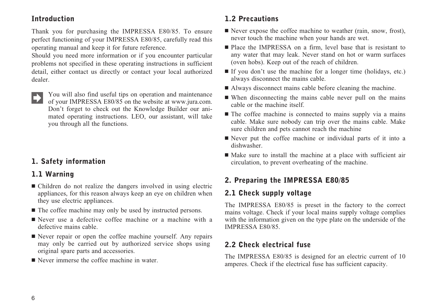### Introduction

Thank you for purchasing the IMPRESSA E80/85. To ensure perfect functioning of your IMPRESSA E80/85, carefully read this operating manual and keep it for future reference.

Should you need more information or if you encounter particular problems not specified in these operating instructions in sufficient detail, either contact us directly or contact your local authorized dealer.

You will also find useful tips on operation and maintenance of your IMPRESSA E80/85 on the website at www.jura.com. Don't forget to check out the Knowledge Builder our animated operating instructions. LEO, our assistant, will take you through all the functions.

### 1. Safety information

### 1.1 Warning

- Children do not realize the dangers involved in using electric appliances, for this reason always keep an eye on children when they use electric appliances.
- $\blacksquare$  The coffee machine may only be used by instructed persons.
- Never use a defective coffee machine or a machine with a defective mains cable.
- Never repair or open the coffee machine yourself. Any repairs may only be carried out by authorized service shops using original spare parts and accessories.
- Never immerse the coffee machine in water.

### 1.2 Precautions

- Never expose the coffee machine to weather (rain, snow, frost), never touch the machine when your hands are wet.
- Place the IMPRESSA on a firm, level base that is resistant to any water that may leak. Never stand on hot or warm surfaces (oven hobs). Keep out of the reach of children.
- If you don't use the machine for a longer time (holidays, etc.) always disconnect the mains cable.
- Always disconnect mains cable before cleaning the machine.
- When disconnecting the mains cable never pull on the mains cable or the machine itself.
- The coffee machine is connected to mains supply via a mains cable. Make sure nobody can trip over the mains cable. Make sure children and pets cannot reach the machine
- Never put the coffee machine or individual parts of it into a dishwasher.
- Make sure to install the machine at a place with sufficient air circulation, to prevent overheating of the machine.

### 2. Preparing the IMPRESSA E80/85

### 2.1 Check supply voltage

The IMPRESSA E80/85 is preset in the factory to the correct mains voltage. Check if your local mains supply voltage complies with the information given on the type plate on the underside of the IMPRESSA E80/85.

### 2.2 Check electrical fuse

The IMPRESSA E80/85 is designed for an electric current of 10 amperes. Check if the electrical fuse has sufficient capacity.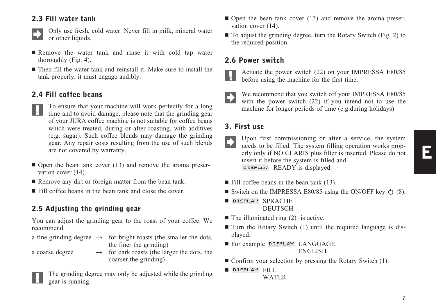### 2.3 Fill water tank



Only use fresh, cold water. Never fill in milk, mineral water or other liquids.

- **Remove the water tank and rinse it with cold tap water** thoroughly (Fig. 4).
- Then fill the water tank and reinstall it. Make sure to install the tank properly, it must engage audibly.

### 2.4 Fill coffee beans

- To ensure that your machine will work perfectly for a long time and to avoid damage, please note that the grinding gear of your JURA coffee machine is not suitable for coffee beans which were treated, during or after roasting, with additives (e.g. sugar). Such coffee blends may damage the grinding gear. Any repair costs resulting from the use of such blends are not covered by warranty.
- Open the bean tank cover (13) and remove the aroma preservation cover (14).
- Remove any dirt or foreign matter from the bean tank.
- Fill coffee beans in the bean tank and close the cover.

### 2.5 Adjusting the grinding gear

You can adjust the grinding gear to the roast of your coffee. We recommend

a fine grinding degree  $\rightarrow$  for bright roasts (the smaller the dots, the finer the grinding)

a coarse degree

 $\rightarrow$  for dark roasts (the larger the dots, the coarser the grinding)



The grinding degree may only be adjusted while the grinding gear is running.

- Open the bean tank cover (13) and remove the aroma preservation cover (14).
- To adjust the grinding degree, turn the Rotary Switch (Fig. 2) to the required position.

### 2.6 Power switch



Actuate the power switch (22) on your IMPRESSA E80/85 before using the machine for the first time.



We recommend that you switch off your IMPRESSA E80/85 with the power switch (22) if you intend not to use the machine for longer periods of time (e.g.during holidays)

### 3. First use

Upon first commissioning or after a service, the system needs to be filled. The system filling operation works properly only if NO CLARIS plus filter is inserted. Please do not insert it before the system is filled and **DISPLAY** READY is displayed.

- Fill coffee beans in the bean tank (13).
- Switch on the IMPRESSA E80/85 using the ON/OFF key  $\Diamond$  (8).
- DISPLAY SPRACHE **DEUTSCH**
- $\blacksquare$  The illuminated ring (2) is active.
- If Turn the Rotary Switch (1) until the required language is displayed.
- **For example DISPLAY LANGUAGE** ENGLISH
- Confirm your selection by pressing the Rotary Switch (1).
- DISPLAY FILL WATER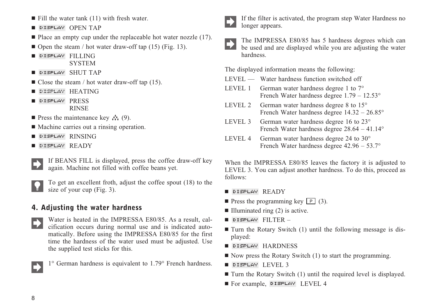- DISPLAY OPEN TAP
- Place an empty cup under the replaceable hot water nozzle (17).
- Open the steam / hot water draw-off tap (15) (Fig. 13).
- DISPLAY FILLING **SYSTEM**
- DISPL<del>A</del>Y SHUT TAP
- $\blacksquare$  Close the steam / hot water draw-off tap (15).
- $\blacksquare$  Display  $\rm HEATING$
- DISPLAY PRESS RINSE
- **Press the maintenance key**  $\mathbf{A}$  (9).
- Machine carries out a rinsing operation.
- $\blacksquare$  Display  $\rm RINSING$
- DISPLAY READY



If BEANS FILL is displayed, press the coffee draw-off key again. Machine not filled with coffee beans yet.



To get an excellent froth, adjust the coffee spout (18) to the size of your cup (Fig. 3).

### 4. Adjusting the water hardness

Water is heated in the IMPRESSA E80/85. As a result, calcification occurs during normal use and is indicated automatically. Before using the IMPRESSA E80/85 for the first time the hardness of the water used must be adjusted. Use the supplied test sticks for this.

1° German hardness is equivalent to 1.79° French hardness.



If the filter is activated, the program step Water Hardness no longer appears.



The IMPRESSA E80/85 has 5 hardness degrees which can be used and are displayed while you are adjusting the water hardness.

The displayed information means the following:

- LEVEL –– Water hardness function switched off
- LEVEL 1 German water hardness degree 1 to 7<sup>°</sup> French Water hardness degree 1.79 – 12.53°
- LEVEL 2 German water hardness degree 8 to 15° French Water hardness degree 14.32 – 26.85°
- LEVEL 3 German water hardness degree 16 to 23° French Water hardness degree 28.64 – 41.14°
- LEVEL 4 German water hardness degree 24 to 30° French Water hardness degree 42.96 – 53.7°

When the IMPRESSA E80/85 leaves the factory it is adjusted to LEVEL 3. You can adjust another hardness. To do this, proceed as follows:

- DISPL<del>A</del>V READY
- **P** Press the programming key  $\boxed{P}$  (3).
- Illuminated ring (2) is active.
- DISPLAY FILTER –
- If Turn the Rotary Switch (1) until the following message is displayed:
- DISPLAY HARDNESS
- Now press the Rotary Switch (1) to start the programming.
- DISPLAY LEVEL 3
- Turn the Rotary Switch (1) until the required level is displayed.
- For example, DISPLAY LEVEL 4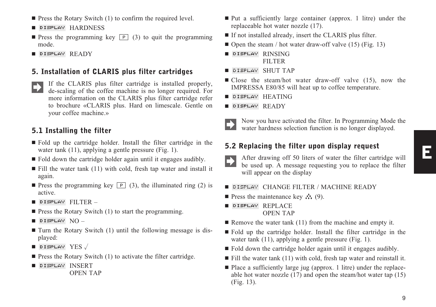E

- $\blacksquare$  Press the Rotary Switch (1) to confirm the required level.
- **E DISPLAY HARDNESS**
- **Press the programming key**  $\boxed{P}$  (3) to quit the programming mode.
- **DISPLAY READY**

#### 5. Installation of CLARIS plus filter cartridges

If the CLARIS plus filter cartridge is installed properly, de-scaling of the coffee machine is no longer required. For more information on the CLARIS plus filter cartridge refer to brochure «CLARIS plus. Hard on limescale. Gentle on your coffee machine.»

#### 5.1 Installing the filter

- Fold up the cartridge holder. Install the filter cartridge in the water tank (11), applying a gentle pressure (Fig. 1).
- Fold down the cartridge holder again until it engages audibly.
- Fill the water tank (11) with cold, fresh tap water and install it again.
- **Press the programming key P** (3), the illuminated ring (2) is active.
- $\blacksquare$  DISPLAY  $\text{FILTER} \, -$
- **Press the Rotary Switch (1) to start the programming.**
- $\blacksquare$  DISPLAY  $\rm NO-$
- If Turn the Rotary Switch (1) until the following message is displayed:
- $\blacksquare$  DISPLAY  $\text{YES} \downarrow$
- **Press the Rotary Switch (1) to activate the filter cartridge.**
- DISPLAY INSERT
	- OPEN TAP
- Put a sufficiently large container (approx. 1 litre) under the replaceable hot water nozzle (17).
- If not installed already, insert the CLARIS plus filter.
- Open the steam / hot water draw-off valve (15) (Fig. 13)
- **B** DISPLAY RINSING FILTER
- $\blacksquare$  DISPLAY SHUT TAP
- Close the steam/hot water draw-off valve (15), now the IMPRESSA E80/85 will heat up to coffee temperature.
- $\blacksquare$  DISPLAY  $HEATING$
- $\blacksquare$  DISPLAY  $\mathsf{READY}$



Now you have activated the filter. In Programming Mode the water hardness selection function is no longer displayed.

#### 5.2 Replacing the filter upon display request

After drawing off 50 liters of water the filter cartridge will be used up. A message requesting you to replace the filter will appear on the display

#### **DISPLAY** CHANGE FILTER / MACHINE READY

- **Press the maintenance key**  $\mathbf{A}$  (9).
- **E DISPLAY REPLACE** OPEN TAP
- Remove the water tank  $(11)$  from the machine and empty it.
- Fold up the cartridge holder. Install the filter cartridge in the water tank (11), applying a gentle pressure (Fig. 1).
- Fold down the cartridge holder again until it engages audibly.
- Fill the water tank (11) with cold, fresh tap water and reinstall it.
- Place a sufficiently large jug (approx. 1 litre) under the replaceable hot water nozzle (17) and open the steam/hot water tap (15) (Fig. 13).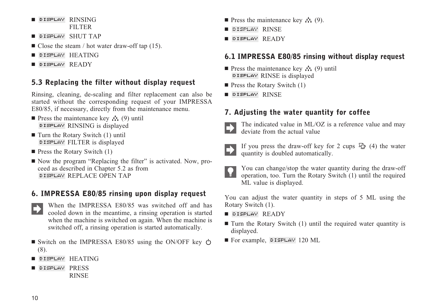- DISPLAY RINSING FILTER
- DISPLAY SHUT TAP
- $\blacksquare$  Close the steam / hot water draw-off tap (15).
- $\blacksquare$  DISPLAY  $HEATING$
- DISPLAY READY

### 5.3 Replacing the filter without display request

Rinsing, cleaning, de-scaling and filter replacement can also be started without the corresponding request of your IMPRESSA E80/85, if necessary, directly from the maintenance menu.

- **Press the maintenance key**  $\mathcal{N}_1(9)$  **until** DISPLAY RINSING is displayed
- Turn the Rotary Switch (1) until DISPLAY FILTER is displayed
- **Press the Rotary Switch (1)**
- Now the program "Replacing the filter" is activated. Now, proceed as described in Chapter 5.2 as from **DISPLAY REPLACE OPEN TAP**

### 6. IMPRESSA E80/85 rinsing upon display request

- When the IMPRESSA E80/85 was switched off and has cooled down in the meantime, a rinsing operation is started when the machine is switched on again. When the machine is switched off, a rinsing operation is started automatically.
- Switch on the IMPRESSA E80/85 using the ON/OFF key (8).
- $\blacksquare$  DISPLAY  $HEATING$
- **DISPLAY PRESS** RINSE
- **Press the maintenance key**  $\mathbf{A}$  (9).
- ∎ DISPLAY RINSE
- DISPLAY READY

### 6.1 IMPRESSA E80/85 rinsing without display request

- **Press the maintenance key**  $\mathcal{N}_1(9)$  **until DISPLAY** RINSE is displayed
- **Press the Rotary Switch (1)**
- DISPLAY RINSE

### 7. Adjusting the water quantity for coffee



The indicated value in ML/OZ is a reference value and may deviate from the actual value



If you press the draw-off key for 2 cups  $\Phi$  (4) the water quantity is doubled automatically.

You can change/stop the water quantity during the draw-off operation, too. Turn the Rotary Switch (1) until the required ML value is displayed.

You can adjust the water quantity in steps of 5 ML using the Rotary Switch (1).

- DISPLAY READY
- If Turn the Rotary Switch (1) until the required water quantity is displayed.
- For example, DISPLAY 120 ML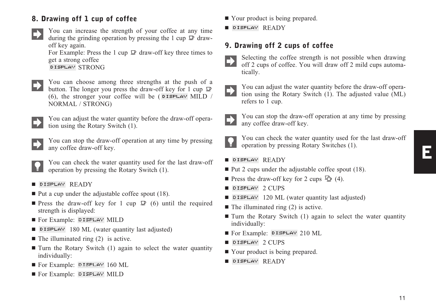### 8. Drawing off 1 cup of coffee

You can increase the strength of your coffee at any time during the grinding operation by pressing the 1 cup  $\mathbb{D}$  drawoff key again.

For Example: Press the 1 cup  $\mathcal{Q}$  draw-off key three times to get a strong coffee DISPLAY STRONG

You can choose among three strengths at the push of a button. The longer you press the draw-off key for 1 cup  $\mathcal{D}$ (6), the stronger your coffee will be ( $\overline{D}$   $\overline{D}$   $\overline{D}$   $\overline{D}$   $\overline{D}$  / NORMAL / STRONG)



You can adjust the water quantity before the draw-off operation using the Rotary Switch (1).

You can stop the draw-off operation at any time by pressing any coffee draw-off key.

You can check the water quantity used for the last draw-off operation by pressing the Rotary Switch (1).

■ DISPLAY READY

- $\blacksquare$  Put a cup under the adjustable coffee spout (18).
- **Press the draw-off key for 1 cup**  $\mathbb{P}(6)$  **until the required** strength is displayed:
- **For Example: DISPLAY MILD**
- **DISPLAY** 180 ML (water quantity last adjusted)
- $\blacksquare$  The illuminated ring (2) is active.
- If Turn the Rotary Switch (1) again to select the water quantity individually:
- **For Example: DISPLAY 160 ML**
- **For Example: DISPLAY MILD**
- Your product is being prepared.
- **E** DISPLAY READY

### 9. Drawing off 2 cups of coffee

- 
- Selecting the coffee strength is not possible when drawing off 2 cups of coffee. You will draw off 2 mild cups automatically.
- 
- You can adjust the water quantity before the draw-off operation using the Rotary Switch (1). The adjusted value (ML) refers to 1 cup.



You can stop the draw-off operation at any time by pressing any coffee draw-off key.



- You can check the water quantity used for the last draw-off operation by pressing Rotary Switches (1).
- DISPLAY READY
- Put 2 cups under the adjustable coffee spout (18).
- **Press the draw-off key for 2 cups**  $\Phi$  (4).
- $\blacksquare$  DISPLAY 2  $\text{CUPS}$
- **DISPLAY** 120 ML (water quantity last adjusted)
- $\blacksquare$  The illuminated ring (2) is active.
- If Turn the Rotary Switch (1) again to select the water quantity individually:
- For Example: DISPLAY 210 ML
- $\blacksquare$  DISPLAY 2  $\text{CUPS}$
- Your product is being prepared.
- $\blacksquare$  DISPLAY  $\mathsf{READY}$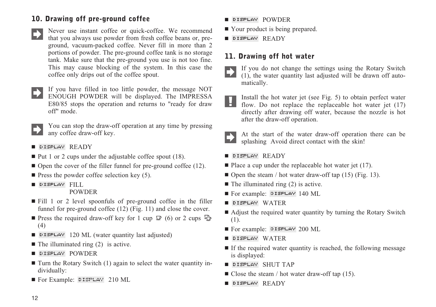### 10. Drawing off pre-ground coffee

- Never use instant coffee or quick-coffee. We recommend that you always use powder from fresh coffee beans or, preground, vacuum-packed coffee. Never fill in more than 2 portions of powder. The pre-ground coffee tank is no storage tank. Make sure that the pre-ground you use is not too fine. This may cause blocking of the system. In this case the coffee only drips out of the coffee spout.
- If you have filled in too little powder, the message NOT ENOUGH POWDER will be displayed. The IMPRESSA E80/85 stops the operation and returns to "ready for draw off" mode.



You can stop the draw-off operation at any time by pressing any coffee draw-off key.

- DISPL<del>A</del>Y READY
- Put 1 or 2 cups under the adjustable coffee spout (18).
- Open the cover of the filler funnel for pre-ground coffee (12).
- $\blacksquare$  Press the powder coffee selection key (5).
- DISPLAY FILL

POWDER

- Fill 1 or 2 level spoonfuls of pre-ground coffee in the filler funnel for pre-ground coffee (12) (Fig. 11) and close the cover.
- Press the required draw-off key for 1 cup  $\mathbb{P}(6)$  or 2 cups (4)
- **DISPLAY** 120 ML (water quantity last adjusted)
- $\blacksquare$  The illuminated ring (2) is active.
- DISPLAY POWDER
- $\blacksquare$  Turn the Rotary Switch (1) again to select the water quantity individually:
- For Example: DISPLAY 210 ML
- DISPLAY POWDER
- Your product is being prepared.
- DISPLAY READY

### 11. Drawing off hot water

- If you do not change the settings using the Rotary Switch (1), the water quantity last adjusted will be drawn off automatically.
- Install the hot water jet (see Fig. 5) to obtain perfect water H. flow. Do not replace the replaceable hot water jet (17) directly after drawing off water, because the nozzle is hot after the draw-off operation.
	- At the start of the water draw-off operation there can be splashing Avoid direct contact with the skin!
- DISPLAY READY
- $\blacksquare$  Place a cup under the replaceable hot water jet (17).
- Open the steam / hot water draw-off tap (15) (Fig. 13).
- $\blacksquare$  The illuminated ring (2) is active.
- For example: DISPLAY 140 ML
- DISPLAY WATER
- Adjust the required water quantity by turning the Rotary Switch (1).
- For example: DISPLAY 200 ML
- DISPL<del>A</del>V WATER
- If the required water quantity is reached, the following message is displayed:
- DISPLAY SHUT TAP
- $\blacksquare$  Close the steam / hot water draw-off tap (15).
- DISPLAY READY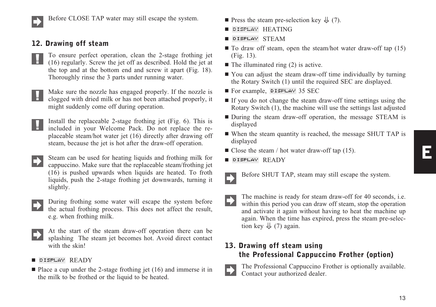

Before CLOSE TAP water may still escape the system.

### 12. Drawing off steam

To ensure perfect operation, clean the 2-stage frothing jet - 6 -(16) regularly. Screw the jet off as described. Hold the jet at the top and at the bottom end and screw it apart (Fig. 18). Thoroughly rinse the 3 parts under running water.

Make sure the nozzle has engaged properly. If the nozzle is clogged with dried milk or has not been attached properly, it **PET** might suddenly come off during operation.

Install the replaceable 2-stage frothing jet (Fig. 6). This is included in your Welcome Pack. Do not replace the replaceable steam/hot water jet (16) directly after drawing off steam, because the jet is hot after the draw-off operation.

Steam can be used for heating liquids and frothing milk for cappuccino. Make sure that the replaceable steam/frothing jet (16) is pushed upwards when liquids are heated. To froth liquids, push the 2-stage frothing jet downwards, turning it slightly.

- During frothing some water will escape the system before the actual frothing process. This does not affect the result, e.g. when frothing milk.
- At the start of the steam draw-off operation there can be splashing The steam jet becomes hot. Avoid direct contact with the skin!

#### ■ DISPLAY READY

■ Place a cup under the 2-stage frothing jet (16) and immerse it in the milk to be frothed or the liquid to be heated.

- **Press the steam pre-selection key**  $\downarrow$  **(7).**
- $\blacksquare$  DISPLAY  $HEATING$
- $\blacksquare$  DISPLAY STEAM
- $\blacksquare$  To draw off steam, open the steam/hot water draw-off tap (15) (Fig. 13).
- The illuminated ring (2) is active.
- You can adjust the steam draw-off time individually by turning the Rotary Switch (1) until the required SEC are displayed.
- **For example, DISPLAY 35 SEC**
- If you do not change the steam draw-off time settings using the Rotary Switch (1), the machine will use the settings last adjusted
- During the steam draw-off operation, the message STEAM is displayed
- When the steam quantity is reached, the message SHUT TAP is displayed
- $\blacksquare$  Close the steam / hot water draw-off tap (15).
- $\blacksquare$  DISPLAY  $\mathsf{READY}$

Before SHUT TAP, steam may still escape the system.

The machine is ready for steam draw-off for 40 seconds, i.e. within this period you can draw off steam, stop the operation and activate it again without having to heat the machine up again. When the time has expired, press the steam pre-selection key  $\frac{11}{2}$  (7) again.

### 13. Drawing off steam using the Professional Cappuccino Frother (option)

The Professional Cappuccino Frother is optionally available. Contact your authorized dealer.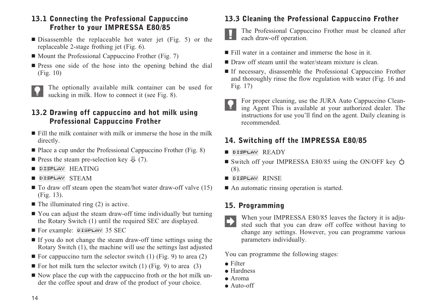### 13.1 Connecting the Professional Cappuccino Frother to your IMPRESSA E80/85

- Disassemble the replaceable hot water jet (Fig. 5) or the replaceable 2-stage frothing jet (Fig. 6).
- Mount the Professional Cappuccino Frother (Fig. 7)
- **Press one side of the hose into the opening behind the dial** (Fig. 10)



The optionally available milk container can be used for sucking in milk. How to connect it (see Fig. 8).

### 13.2 Drawing off cappuccino and hot milk using Professional Cappuccino Frother

- Fill the milk container with milk or immerse the hose in the milk directly.
- Place a cup under the Professional Cappuccino Frother (Fig. 8)
- **Press the steam pre-selection key**  $\downarrow$  **(7).**
- $\blacksquare$  DISPLAY  $HEATING$
- DISPLAY STEAM
- $\blacksquare$  To draw off steam open the steam/hot water draw-off valve (15) (Fig. 13).
- $\blacksquare$  The illuminated ring (2) is active.
- You can adjust the steam draw-off time individually but turning the Rotary Switch (1) until the required SEC are displayed.
- **For example: DISPLAY 35 SEC**
- If you do not change the steam draw-off time settings using the Rotary Switch (1), the machine will use the settings last adjusted
- $\blacksquare$  For cappuccino turn the selector switch (1) (Fig. 9) to area (2)
- $\blacksquare$  For hot milk turn the selector switch (1) (Fig. 9) to area (3)
- Now place the cup with the cappuccino froth or the hot milk under the coffee spout and draw of the product of your choice.

### 13.3 Cleaning the Professional Cappuccino Frother



The Professional Cappuccino Frother must be cleaned after each draw-off operation.

- Fill water in a container and immerse the hose in it.
- Draw off steam until the water/steam mixture is clean.
- If necessary, disassemble the Professional Cappuccino Frother and thoroughly rinse the flow regulation with water (Fig. 16 and Fig. 17)
- 

For proper cleaning, use the JURA Auto Cappuccino Cleaning Agent This is available at your authorized dealer. The instructions for use you'll find on the agent. Daily cleaning is recommended.

### 14. Switching off the IMPRESSA E80/85

- DISPL<del>A</del>V READY
- Switch off your IMPRESSA E80/85 using the ON/OFF key (8).
- DISPLAY RINSE
- An automatic rinsing operation is started.

### 15. Programming

When your IMPRESSA E80/85 leaves the factory it is adjusted such that you can draw off coffee without having to change any settings. However, you can programme various parameters individually.

You can programme the following stages:

- Filter
- Hardness
- Aroma
- Auto-off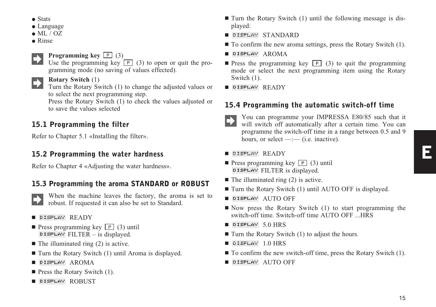- Stats
- Language
- $\bullet$  ML / OZ
- Rinse

### **Programming key**  $\boxed{P}$  (3)

Use the programming key  $\boxed{P}$  (3) to open or quit the programming mode (no saving of values effected).

#### **Rotary Switch** (1)

Turn the Rotary Switch (1) to change the adjusted values or to select the next programming step.

Press the Rotary Switch (1) to check the values adjusted or to save the values selected

### 15.1 Programming the filter

Refer to Chapter 5.1 «Installing the filter».

### 15.2 Programming the water hardness

Refer to Chapter 4 «Adjusting the water hardness».

### 15.3 Programming the aroma STANDARD or ROBUST

When the machine leaves the factory, the aroma is set to robust. If requested it can also be set to Standard.

#### ■ DISPLAY READY

- **P** Press programming key  $\boxed{P}$  (3) until  $D$  ISPLAY FILTER – is displayed.
- $\blacksquare$  The illuminated ring (2) is active.
- Turn the Rotary Switch (1) until Aroma is displayed.
- DISPLAY AROMA
- **Press the Rotary Switch (1).**
- DISPLAY ROBUST
- If Turn the Rotary Switch (1) until the following message is displayed:
- DISPLAY STANDARD
- $\blacksquare$  To confirm the new aroma settings, press the Rotary Switch (1).
- **B** DISPLAY AROMA
- **Press the programming key**  $\boxed{P}$  (3) to quit the programming mode or select the next programming item using the Rotary Switch (1).
- DISPLAY READY

### 15.4 Programming the automatic switch-off time

You can programme your IMPRESSA E80/85 such that it will switch off automatically after a certain time. You can programme the switch-off time in a range between 0.5 and 9 hours, or select  $-(-$  (i.e. inactive).

#### $\blacksquare$  DISPLAY  $\mathsf{READY}$

- **P** Press programming key  $\boxed{P}$  (3) until **DISPLAY FILTER** is displayed.
- $\blacksquare$  The illuminated ring (2) is active.
- Turn the Rotary Switch (1) until AUTO OFF is displayed.
- $\blacksquare$  DISPLAY  $\upLambda$ uto off
- Now press the Rotary Switch (1) to start programming the switch-off time. Switch-off time AUTO OFF ...HRS
- $\blacksquare$  DISPLAY 5.0 HRS
- Turn the Rotary Switch (1) to adjust the hours.
- $\blacksquare$  DISPLAY  $1.0$   $\text{HRS}$
- $\blacksquare$  To confirm the new switch-off time, press the Rotary Switch (1).
- $\blacksquare$  DISPLAY  $\uparrow$  AUTO OFF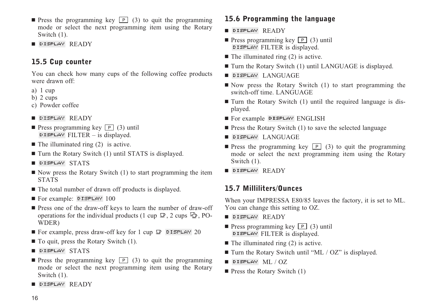- **Press the programming key**  $\boxed{P}$  (3) to quit the programming mode or select the next programming item using the Rotary Switch (1).
- DISPLAY READY

### 15.5 Cup counter

You can check how many cups of the following coffee products were drawn off:

- a) 1 cup
- b) 2 cups
- c) Powder coffee
- DISPLAY READY
- **P** Press programming key  $\boxed{P}$  (3) until **DISPLAY** FILTER – is displayed.
- $\blacksquare$  The illuminated ring (2) is active.
- Turn the Rotary Switch (1) until STATS is displayed.
- DISPLAY STATS
- Now press the Rotary Switch (1) to start programming the item STATS
- The total number of drawn off products is displayed.
- **For example: DISPLAY 100**
- **Press one of the draw-off keys to learn the number of draw-off** operations for the individual products (1 cup  $\mathcal{Q}$ , 2 cups  $\mathcal{Q}$ , PO-WDER)
- For example, press draw-off key for 1 cup **D** DISPLAY 20
- To quit, press the Rotary Switch (1).
- DISPLAY STATS
- **Press the programming key P** (3) to quit the programming mode or select the next programming item using the Rotary Switch (1).
- DISPL<del>A</del>Y READY

### 15.6 Programming the language

- DISPLAY READY
- **P** Press programming key  $\boxed{P}$  (3) until DISPLAY FILTER is displayed.
- $\blacksquare$  The illuminated ring (2) is active.
- Turn the Rotary Switch (1) until LANGUAGE is displayed.
- DISPLAY LANGUAGE
- Now press the Rotary Switch (1) to start programming the switch-off time. LANGUAGE
- Turn the Rotary Switch (1) until the required language is displayed.
- For example DISPLAY ENGLISH
- **Press the Rotary Switch (1) to save the selected language**
- DISPL<del>A</del>Y LANGUAGE
- **Press the programming key**  $\boxed{P}$  (3) to quit the programming mode or select the next programming item using the Rotary Switch (1).
- DISPLAY READY

### 15.7 Milliliters/Ounces

When your IMPRESSA E80/85 leaves the factory, it is set to ML. You can change this setting to OZ.

- DISPLAY READY
- **P** Press programming key  $\boxed{P}$  (3) until DISPLAY FILTER is displayed.
- $\blacksquare$  The illuminated ring (2) is active.
- Turn the Rotary Switch until "ML / OZ" is displayed.
- $\blacksquare$  DISPLAY  $ML / OZ$
- **Press the Rotary Switch (1)**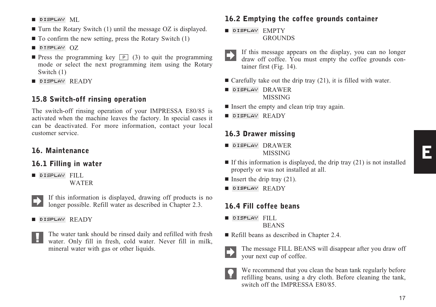- Turn the Rotary Switch (1) until the message OZ is displayed.
- $\blacksquare$  To confirm the new setting, press the Rotary Switch (1)

#### $\blacksquare$  DISPLAY  $OZ$

- **Press the programming key**  $\boxed{P}$  (3) to quit the programming mode or select the next programming item using the Rotary Switch (1)
- DISPLAY READY

#### 15.8 Switch-off rinsing operation

The switch-off rinsing operation of your IMPRESSA E80/85 is activated when the machine leaves the factory. In special cases it can be deactivated. For more information, contact your local customer service.

### 16. Maintenance

#### 16.1 Filling in water

- DISPLAY FILL WATER
	- If this information is displayed, drawing off products is no longer possible. Refill water as described in Chapter 2.3.

#### ■ DISPLAY READY



The water tank should be rinsed daily and refilled with fresh water. Only fill in fresh, cold water. Never fill in milk, mineral water with gas or other liquids.

### 16.2 Emptying the coffee grounds container

- $\blacksquare$  DISPLAY  $EMPTY$ GROUNDS
- If this message appears on the display, you can no longer draw off coffee. You must empty the coffee grounds container first (Fig. 14).
- $\blacksquare$  Carefully take out the drip tray (21), it is filled with water.
- DISPLAY DRAWER MISSING
- Insert the empty and clean trip tray again.
- $\blacksquare$  DISPLAY  $\mathsf{READY}$

### 16.3 Drawer missing

- DISPLAY DRAWER MISSING
- If this information is displayed, the drip tray  $(21)$  is not installed properly or was not installed at all.
- $\blacksquare$  Insert the drip tray (21).
- $\blacksquare$  DISPLAY  $\mathsf{READY}$

### 16.4 Fill coffee beans

- DISPLAY FILL
	- BEANS
- Refill beans as described in Chapter 2.4.



The message FILL BEANS will disappear after you draw off your next cup of coffee.

We recommend that you clean the bean tank regularly before refilling beans, using a dry cloth. Before cleaning the tank, switch off the IMPRESSA E80/85.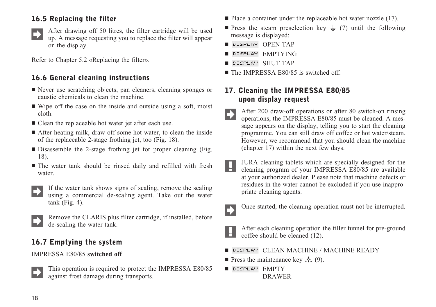### 16.5 Replacing the filter



After drawing off 50 litres, the filter cartridge will be used up. A message requesting you to replace the filter will appear on the display.

Refer to Chapter 5.2 «Replacing the filter».

### 16.6 General cleaning instructions

- Never use scratching objects, pan cleaners, cleaning sponges or caustic chemicals to clean the machine.
- Wipe off the case on the inside and outside using a soft, moist cloth.
- Clean the replaceable hot water jet after each use.
- After heating milk, draw off some hot water, to clean the inside of the replaceable 2-stage frothing jet, too (Fig. 18).
- Disassemble the 2-stage frothing jet for proper cleaning (Fig. 18).
- The water tank should be rinsed daily and refilled with fresh water.



If the water tank shows signs of scaling, remove the scaling using a commercial de-scaling agent. Take out the water  $tank$  (Fig. 4).



Remove the CLARIS plus filter cartridge, if installed, before de-scaling the water tank.

### 16.7 Emptying the system

#### IMPRESSA E80/85 **switched off**



This operation is required to protect the IMPRESSA E80/85 against frost damage during transports.

- Place a container under the replaceable hot water nozzle (17).
- **Press the steam preselection key**  $\downarrow$  **(7) until the following** message is displayed:
- DISPLAY OPEN TAP
- **B** DISPLAY EMPTYING
- DISPLAY SHUTTAP
- The IMPRESSA E80/85 is switched off.

### 17. Cleaning the IMPRESSA E80/85 upon display request

- After 200 draw-off operations or after 80 switch-on rinsing operations, the IMPRESSA E80/85 must be cleaned. A message appears on the display, telling you to start the cleaning programme. You can still draw off coffee or hot water/steam. However, we recommend that you should clean the machine (chapter 17) within the next few days.
- JURA cleaning tablets which are specially designed for the М cleaning program of your IMPRESSA E80/85 are available at your authorized dealer. Please note that machine defects or residues in the water cannot be excluded if you use inappropriate cleaning agents.



Once started, the cleaning operation must not be interrupted.



After each cleaning operation the filler funnel for pre-ground coffee should be cleaned (12).

- **DISPLAY** CLEAN MACHINE / MACHINE READY
- **Press the maintenance key**  $\mathcal{N}(9)$ **.**
- DISPLAY EMPTY DRAWER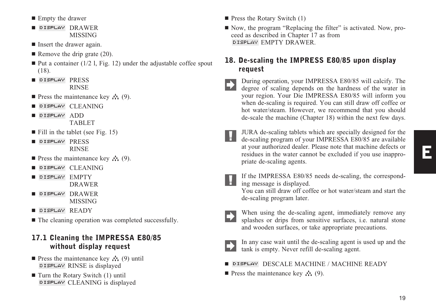- **Empty** the drawer
- DISPLAY DRAWER MISSING
- **I** Insert the drawer again.
- $\blacksquare$  Remove the drip grate (20).
- $\blacksquare$  Put a container (1/2 1, Fig. 12) under the adjustable coffee spout (18).
- DISPLAY PRESS RINSE
- **Press the maintenance key**  $\mathcal{N}(9)$ **.**
- **OISPLAY CLEANING**
- DISPLAY ADD TABLET
- Fill in the tablet (see Fig. 15)
- **DISPLAY PRESS** RINSE
- **Press the maintenance key**  $\mathcal{N}(9)$ **.**
- **OISPLAY CLEANING**
- DISPLAY EMPTY DRAWER
- -DISPLAY DRAWER MISSING
- DISPLAY READY
- $\blacksquare$  The cleaning operation was completed successfully.

### 17.1 Cleaning the IMPRESSA E80/85 without display request

- **Press the maintenance key**  $\mathcal{L}_1$  (9) until **DISPLAY** RINSE is displayed
- Turn the Rotary Switch (1) until DISPLAY CLEANING is displayed
- **Press the Rotary Switch (1)**
- Now, the program "Replacing the filter" is activated. Now, proceed as described in Chapter 17 as from **DISPLAY EMPTY DRAWER**

### 18. De-scaling the IMPRESS E80/85 upon display request

During operation, your IMPRESSA E80/85 will calcify. The degree of scaling data is degree of scaling depends on the hardness of the water in your region. Your Die IMPRESSA E80/85 will inform you when de-scaling is required. You can still draw off coffee or hot water/steam. However, we recommend that you should de-scale the machine (Chapter 18) within the next few days.

- JURA de-scaling tablets which are specially designed for the de-scaling program of your IMPRESSA E80/85 are available<br>de-scaling program of your IMPRESSA E80/85 are available at your authorized dealer. Please note that machine defects or residues in the water cannot be excluded if you use inappropriate de-scaling agents.
- E

If the IMPRESSA E80/85 needs de-scaling, the correspond-II the live NESSA LOCAL ing message is displayed.

You can still draw off coffee or hot water/steam and start the de-scaling program later.

When using the de-scaling agent, immediately remove any splashes or drips from sensitive surfaces, i.e. natural stone and wooden surfaces, or take appropriate precautions.

In any case wait until the de-scaling agent is used up and the tank is empty. Never refill de-scaling agent.

**DISPLAY** DESCALE MACHINE / MACHINE READY

**Press the maintenance key**  $\mathbf{A}$  (9).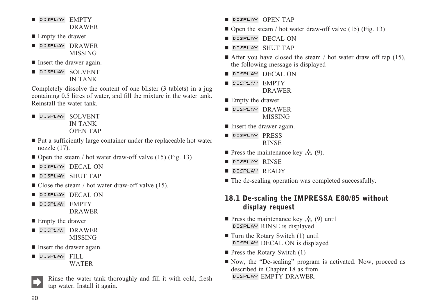- DISPLAY EMPTY DRAWER
- **Empty** the drawer

■ DISPLAY DRAWER MISSING

- **I** Insert the drawer again.
- DISPLAY SOLVENT IN TANK

Completely dissolve the content of one blister (3 tablets) in a jug containing 0.5 litres of water, and fill the mixture in the water tank. Reinstall the water tank.

- DISPLAY SOLVENT IN TANK OPEN TAP
- Put a sufficiently large container under the replaceable hot water nozzle (17).
- Open the steam / hot water draw-off valve (15) (Fig. 13)
- **I** DISPLAY DECAL ON
- DISPLAY SHUT TAP
- $\blacksquare$  Close the steam / hot water draw-off valve (15).
- DISPLAY DECAL ON
- DISPLAY EMPTY DRAWER
- **Empty** the drawer
- DISPLAY DRAWER MISSING
- **I** Insert the drawer again.
- DISPLAY FILL WATER
	- Rinse the water tank thoroughly and fill it with cold, fresh tap water. Install it again.
- DISPLAY OPEN TAP
- Open the steam / hot water draw-off valve (15) (Fig. 13)
- **DISPLAY DECAL ON**
- DISPLAY SHUTTAP
- After you have closed the steam / hot water draw off tap (15), the following message is displayed
- **DISPLAY DECAL ON**
- DISPLAY EMPTY DRAWER
- **Empty** the drawer
- DISPLAY DRAWER MISSING
- Insert the drawer again.
- DISPLAY PRESS RINSE
- **Press the maintenance key**  $\mathcal{N}_1$  (9).
- ∎ DISPLAY RINSE
- DISPLAY READY
- $\blacksquare$  The de-scaling operation was completed successfully.

### 18.1 De-scaling the IMPRESSA E80/85 without display request

- **Press the maintenance key**  $\mathcal{N}(\mathcal{Y})$  **until** DISPLAY RINSE is displayed
- Turn the Rotary Switch (1) until DISPLAY DECAL ON is displayed
- **Press the Rotary Switch (1)**
- Now, the "De-scaling" program is activated. Now, proceed as described in Chapter 18 as from DISPLAY EMPTY DRAWER.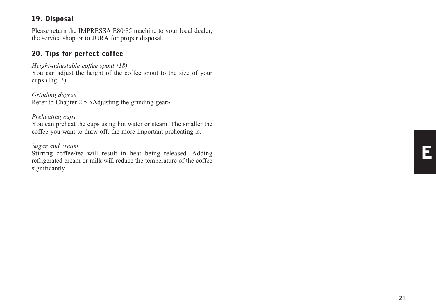### 19. Disposal

Please return the IMPRESSA E80/85 machine to your local dealer, the service shop or to JURA for proper disposal.

### 20. Tips for perfect coffee

#### *Height-adjustable coffee spout (18)*

You can adjust the height of the coffee spout to the size of your cups (Fig. 3)

*Grinding degree* Refer to Chapter 2.5 «Adjusting the grinding gear».

#### *Preheating cups*

You can preheat the cups using hot water or steam. The smaller the coffee you want to draw off, the more important preheating is.

#### *Sugar and cream*

Stirring coffee/tea will result in heat being released. Adding refrigerated cream or milk will reduce the temperature of the coffee significantly.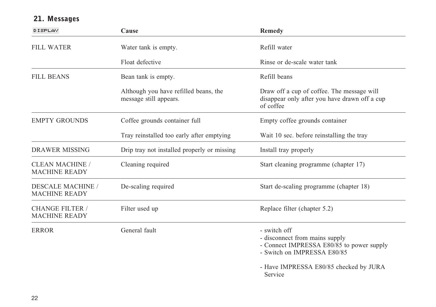| <b>DISPLAY</b>                                   | Cause                                                           | <b>Remedy</b>                                                                                                                                                                   |  |
|--------------------------------------------------|-----------------------------------------------------------------|---------------------------------------------------------------------------------------------------------------------------------------------------------------------------------|--|
| <b>FILL WATER</b>                                | Water tank is empty.                                            | Refill water                                                                                                                                                                    |  |
|                                                  | Float defective                                                 | Rinse or de-scale water tank                                                                                                                                                    |  |
| <b>FILL BEANS</b>                                | Bean tank is empty.                                             | Refill beans                                                                                                                                                                    |  |
|                                                  | Although you have refilled beans, the<br>message still appears. | Draw off a cup of coffee. The message will<br>disappear only after you have drawn off a cup<br>of coffee                                                                        |  |
| <b>EMPTY GROUNDS</b>                             | Coffee grounds container full                                   | Empty coffee grounds container                                                                                                                                                  |  |
|                                                  | Tray reinstalled too early after emptying                       | Wait 10 sec. before reinstalling the tray                                                                                                                                       |  |
| <b>DRAWER MISSING</b>                            | Drip tray not installed properly or missing                     | Install tray properly                                                                                                                                                           |  |
| <b>CLEAN MACHINE /</b><br><b>MACHINE READY</b>   | Cleaning required                                               | Start cleaning programme (chapter 17)                                                                                                                                           |  |
| <b>DESCALE MACHINE</b> /<br><b>MACHINE READY</b> | De-scaling required                                             | Start de-scaling programme (chapter 18)                                                                                                                                         |  |
| <b>CHANGE FILTER /</b><br><b>MACHINE READY</b>   | Filter used up                                                  | Replace filter (chapter 5.2)                                                                                                                                                    |  |
| <b>ERROR</b>                                     | General fault                                                   | - switch off<br>- disconnect from mains supply<br>- Connect IMPRESSA E80/85 to power supply<br>- Switch on IMPRESSA E80/85<br>- Have IMPRESSA E80/85 checked by JURA<br>Service |  |

### 21. Messages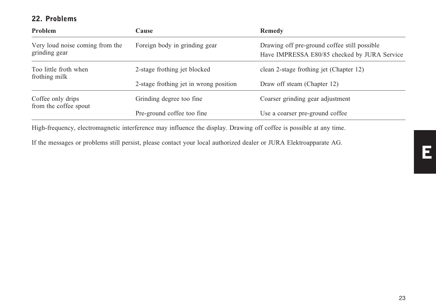### 22. Problems

| Problem                                          | Cause                                  | Remedy                                                                                       |  |
|--------------------------------------------------|----------------------------------------|----------------------------------------------------------------------------------------------|--|
| Very loud noise coming from the<br>grinding gear | Foreign body in grinding gear          | Drawing off pre-ground coffee still possible<br>Have IMPRESSA E80/85 checked by JURA Service |  |
| Too little froth when                            | 2-stage frothing jet blocked           | clean 2-stage frothing jet (Chapter 12)                                                      |  |
| frothing milk                                    | 2-stage frothing jet in wrong position | Draw off steam (Chapter 12)                                                                  |  |
| Coffee only drips<br>from the coffee spout       | Grinding degree too fine.              | Coarser grinding gear adjustment                                                             |  |
|                                                  | Pre-ground coffee too fine             | Use a coarser pre-ground coffee                                                              |  |

High-frequency, electromagnetic interference may influence the display. Drawing off coffee is possible at any time.

If the messages or problems still persist, please contact your local authorized dealer or JURA Elektroapparate AG.